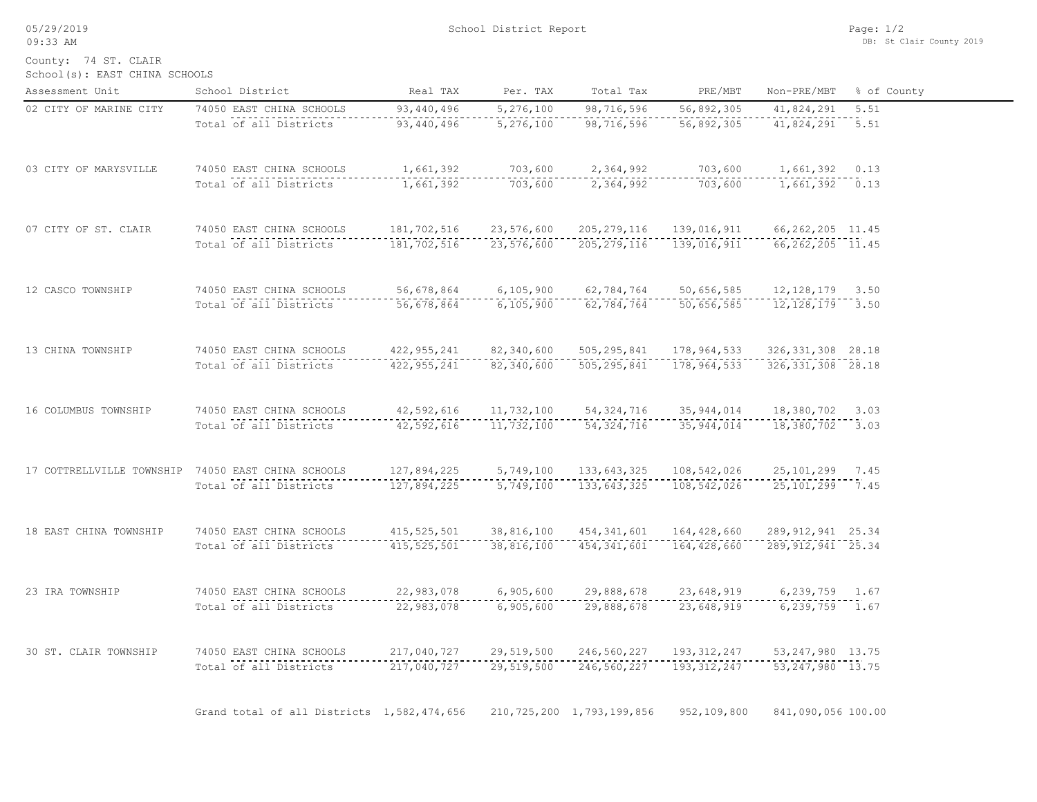05/29/2019 09:33 AM

County: 74 ST. CLAIR

School(s): EAST CHINA SCHOOLS

| Assessment Unit                                    | School District                            | Real TAX                       | Per. TAX                     | Total Tax                      | PRE/MBT       | Non-PRE/MBT           | % of County |
|----------------------------------------------------|--------------------------------------------|--------------------------------|------------------------------|--------------------------------|---------------|-----------------------|-------------|
| 02 CITY OF MARINE CITY                             | 74050 EAST CHINA SCHOOLS                   | 93, 440, 496                   | 5,276,100                    | 98,716,596                     | 56,892,305    | 41,824,291            | 5.51        |
|                                                    | Total of all Districts                     | 93, 440, 496                   | 5, 276, 100                  | 98, 716, 596                   | 56,892,305    | $41,824,291$ 5.51     |             |
| 03 CITY OF MARYSVILLE                              | 74050 EAST CHINA SCHOOLS                   | 1,661,392                      | 703,600                      | 2,364,992                      | 703,600       | 1,661,392 0.13        |             |
|                                                    | Total of all Districts                     | 1,661,392                      | 703,600                      | 2,364,992                      | 703,600       |                       |             |
| 07 CITY OF ST. CLAIR                               | 74050 EAST CHINA SCHOOLS                   | 181,702,516                    | 23,576,600                   | 205, 279, 116                  | 139,016,911   | 66, 262, 205 11.45    |             |
|                                                    | Total of all Districts                     | ---------------<br>181,702,516 | . <u>.</u> .<br>23, 576, 600 | .<br>205, 279, 116             | 139,016,911   | $66, 262, 205$ 11.45  |             |
| 12 CASCO TOWNSHIP                                  | 74050 EAST CHINA SCHOOLS                   | 56,678,864                     | 6,105,900                    | 62,784,764                     | 50,656,585    | 12, 128, 179 3.50     |             |
|                                                    | Total of all Districts                     | 56,678,864                     | 6,105,900                    | 62,784,764                     | 50,656,585    | 12, 128, 179 3.50     |             |
| 13 CHINA TOWNSHIP                                  | 74050 EAST CHINA SCHOOLS                   | 422, 955, 241                  | 82,340,600                   | 505, 295, 841                  | 178,964,533   | 326, 331, 308 28.18   |             |
|                                                    | Total of all Districts                     | 422, 955, 241                  | 82,340,600                   | 505, 295, 841                  | 178,964,533   | 326, 331, 308 28.18   |             |
| 16 COLUMBUS TOWNSHIP                               | 74050 EAST CHINA SCHOOLS                   | 42,592,616                     | 11,732,100                   | 54, 324, 716                   | 35, 944, 014  | 18,380,702 3.03       |             |
|                                                    | Total of all Districts                     | 42,592,616                     | 11,732,100                   | 54, 324, 716                   | 35, 944, 014  | 18,380,702 3.03       |             |
| 17 COTTRELLVILLE TOWNSHIP 74050 EAST CHINA SCHOOLS |                                            | 127,894,225                    | 5,749,100                    | 133,643,325                    | 108,542,026   | 25, 101, 299 7.45     |             |
|                                                    | Total of all Districts                     | 127,894,225                    | 5,749,100                    | 133,643,325                    | 108,542,026   | 25, 101, 299 7.45     |             |
| 18 EAST CHINA TOWNSHIP                             | 74050 EAST CHINA SCHOOLS                   | 415, 525, 501                  | 38,816,100                   | 454,341,601                    | 164,428,660   | 289, 912, 941 25.34   |             |
|                                                    | Total of all Districts                     | 415, 525, 501                  | 38,816,100                   | 454, 341, 601                  | 164,428,660   | $289,912,941$ $25.34$ |             |
| 23 IRA TOWNSHIP                                    | 74050 EAST CHINA SCHOOLS                   | 22,983,078                     | 6,905,600                    | 29,888,678                     | 23,648,919    | 6,239,759 1.67        |             |
|                                                    | Total of all Districts                     | 22,983,078                     | 6,905,600                    | 29,888,678                     | 23,648,919    | $6, 239, 759$ 1.67    |             |
| 30 ST. CLAIR TOWNSHIP                              | 74050 EAST CHINA SCHOOLS                   | 217,040,727                    | 29,519,500                   | 246,560,227                    | 193, 312, 247 | 53, 247, 980 13.75    |             |
|                                                    | Total of all Districts                     | 217,040,727                    | 29,519,500                   | 246,560,227                    | 193, 312, 247 | $53, 247, 980$ 13.75  |             |
|                                                    | Grand total of all Districts 1,582,474,656 |                                |                              | 210, 725, 200 1, 793, 199, 856 | 952,109,800   | 841,090,056 100.00    |             |